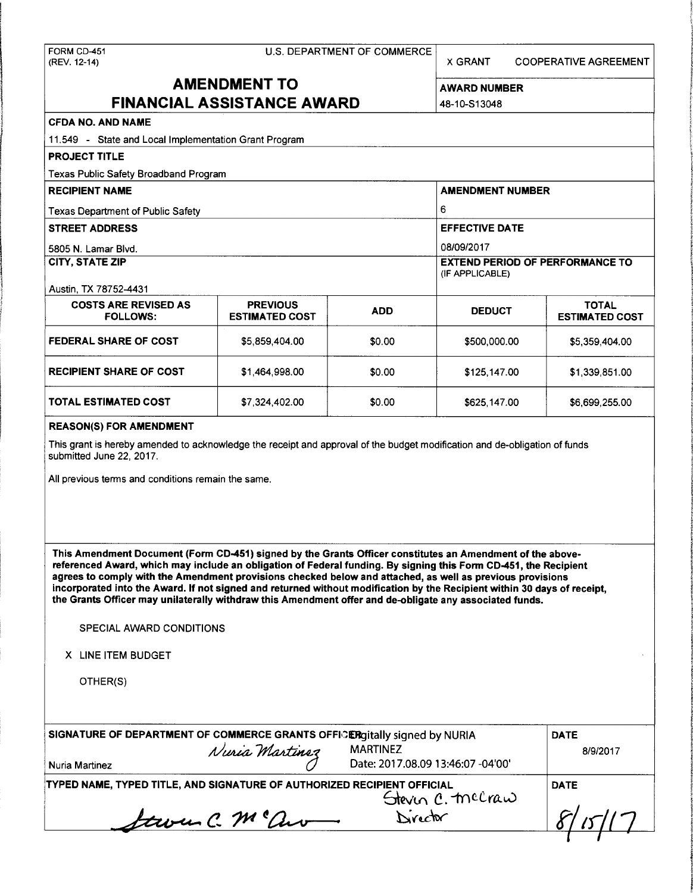X GRANT COOPERATIVE AGREEMENT

# **AMENDMENT TO** AWARD NUMBER **FINANCIAL ASSISTANCE AWARD**  $48-10-513048$

| <b>CFDA NO. AND NAME</b>                                                                                                                                                                                                                                                                                                                                                                                                                                                                                                                                                          |                                          |                 |                                   |                                       |  |                     |
|-----------------------------------------------------------------------------------------------------------------------------------------------------------------------------------------------------------------------------------------------------------------------------------------------------------------------------------------------------------------------------------------------------------------------------------------------------------------------------------------------------------------------------------------------------------------------------------|------------------------------------------|-----------------|-----------------------------------|---------------------------------------|--|---------------------|
| 11.549 - State and Local Implementation Grant Program                                                                                                                                                                                                                                                                                                                                                                                                                                                                                                                             |                                          |                 |                                   |                                       |  |                     |
| <b>PROJECT TITLE</b>                                                                                                                                                                                                                                                                                                                                                                                                                                                                                                                                                              |                                          |                 |                                   |                                       |  |                     |
| Texas Public Safety Broadband Program                                                                                                                                                                                                                                                                                                                                                                                                                                                                                                                                             |                                          |                 |                                   |                                       |  |                     |
| <b>RECIPIENT NAME</b>                                                                                                                                                                                                                                                                                                                                                                                                                                                                                                                                                             |                                          |                 | <b>AMENDMENT NUMBER</b>           |                                       |  |                     |
| <b>Texas Department of Public Safety</b><br><b>STREET ADDRESS</b>                                                                                                                                                                                                                                                                                                                                                                                                                                                                                                                 |                                          |                 | 6<br><b>EFFECTIVE DATE</b>        |                                       |  |                     |
|                                                                                                                                                                                                                                                                                                                                                                                                                                                                                                                                                                                   |                                          |                 |                                   |                                       |  | 5805 N. Lamar Blvd. |
| <b>CITY, STATE ZIP</b>                                                                                                                                                                                                                                                                                                                                                                                                                                                                                                                                                            |                                          |                 |                                   |                                       |  |                     |
| Austin, TX 78752-4431                                                                                                                                                                                                                                                                                                                                                                                                                                                                                                                                                             |                                          |                 | (IF APPLICABLE)                   |                                       |  |                     |
| <b>COSTS ARE REVISED AS</b><br><b>FOLLOWS:</b>                                                                                                                                                                                                                                                                                                                                                                                                                                                                                                                                    | <b>PREVIOUS</b><br><b>ESTIMATED COST</b> | <b>ADD</b>      | <b>DEDUCT</b>                     | <b>TOTAL</b><br><b>ESTIMATED COST</b> |  |                     |
| <b>FEDERAL SHARE OF COST</b>                                                                                                                                                                                                                                                                                                                                                                                                                                                                                                                                                      | \$5,859,404.00                           | \$0.00          | \$500,000.00                      | \$5,359,404.00                        |  |                     |
| <b>RECIPIENT SHARE OF COST</b>                                                                                                                                                                                                                                                                                                                                                                                                                                                                                                                                                    | \$1,464,998.00                           | \$0.00          | \$125,147.00                      | \$1,339,851.00                        |  |                     |
| <b>TOTAL ESTIMATED COST</b>                                                                                                                                                                                                                                                                                                                                                                                                                                                                                                                                                       | \$7,324,402.00                           | \$0.00          | \$625,147.00                      | \$6,699,255.00                        |  |                     |
| <b>REASON(S) FOR AMENDMENT</b>                                                                                                                                                                                                                                                                                                                                                                                                                                                                                                                                                    |                                          |                 |                                   |                                       |  |                     |
| All previous terms and conditions remain the same.                                                                                                                                                                                                                                                                                                                                                                                                                                                                                                                                |                                          |                 |                                   |                                       |  |                     |
| This Amendment Document (Form CD-451) signed by the Grants Officer constitutes an Amendment of the above-<br>referenced Award, which may include an obligation of Federal funding. By signing this Form CD-451, the Recipient<br>agrees to comply with the Amendment provisions checked below and attached, as well as previous provisions<br>incorporated into the Award. If not signed and returned without modification by the Recipient within 30 days of receipt,<br>the Grants Officer may unilaterally withdraw this Amendment offer and de-obligate any associated funds. |                                          |                 |                                   |                                       |  |                     |
| SPECIAL AWARD CONDITIONS                                                                                                                                                                                                                                                                                                                                                                                                                                                                                                                                                          |                                          |                 |                                   |                                       |  |                     |
| X LINE ITEM BUDGET                                                                                                                                                                                                                                                                                                                                                                                                                                                                                                                                                                |                                          |                 |                                   |                                       |  |                     |
| OTHER(S)                                                                                                                                                                                                                                                                                                                                                                                                                                                                                                                                                                          |                                          |                 |                                   |                                       |  |                     |
| SIGNATURE OF DEPARTMENT OF COMMERCE GRANTS OFFICERgitally signed by NURIA                                                                                                                                                                                                                                                                                                                                                                                                                                                                                                         | Nuria Martinez                           | <b>MARTINEZ</b> |                                   | <b>DATE</b><br>8/9/2017               |  |                     |
| Nuria Martinez                                                                                                                                                                                                                                                                                                                                                                                                                                                                                                                                                                    |                                          |                 | Date: 2017.08.09 13:46:07 -04'00' |                                       |  |                     |
| TYPED NAME, TYPED TITLE, AND SIGNATURE OF AUTHORIZED RECIPIENT OFFICIAL                                                                                                                                                                                                                                                                                                                                                                                                                                                                                                           |                                          |                 | Steven C. mecraw<br>Director      | <b>DATE</b>                           |  |                     |
|                                                                                                                                                                                                                                                                                                                                                                                                                                                                                                                                                                                   | Laven C. M ° av                          |                 |                                   |                                       |  |                     |
|                                                                                                                                                                                                                                                                                                                                                                                                                                                                                                                                                                                   |                                          |                 |                                   |                                       |  |                     |